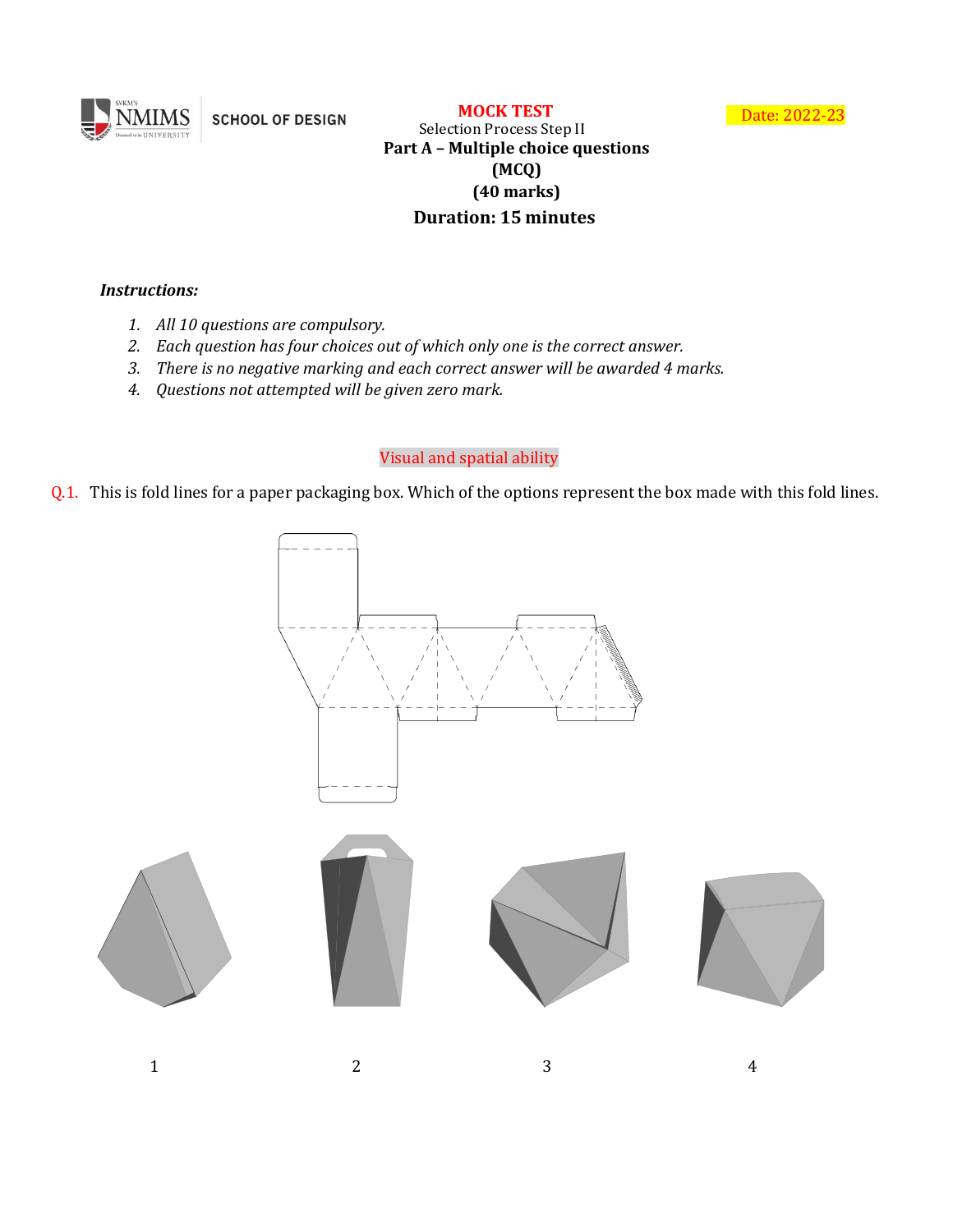

**SCHOOL OF DESIGN** 

 **MOCK TEST**

Date: 2022-23

Selection Process Step II **Part A – Multiple choice questions (MCQ) (40 marks) Duration: 15 minutes**

#### *Instructions:*

- *1. All 10 questions are compulsory.*
- *2. Each question has four choices out of which only one is the correct answer.*
- *3. There is no negative marking and each correct answer will be awarded 4 marks.*
- *4. Questions not attempted will be given zero mark.*

# Visual and spatial ability

Q.1. This is fold lines for a paper packaging box. Which of the options represent the box made with this fold lines.

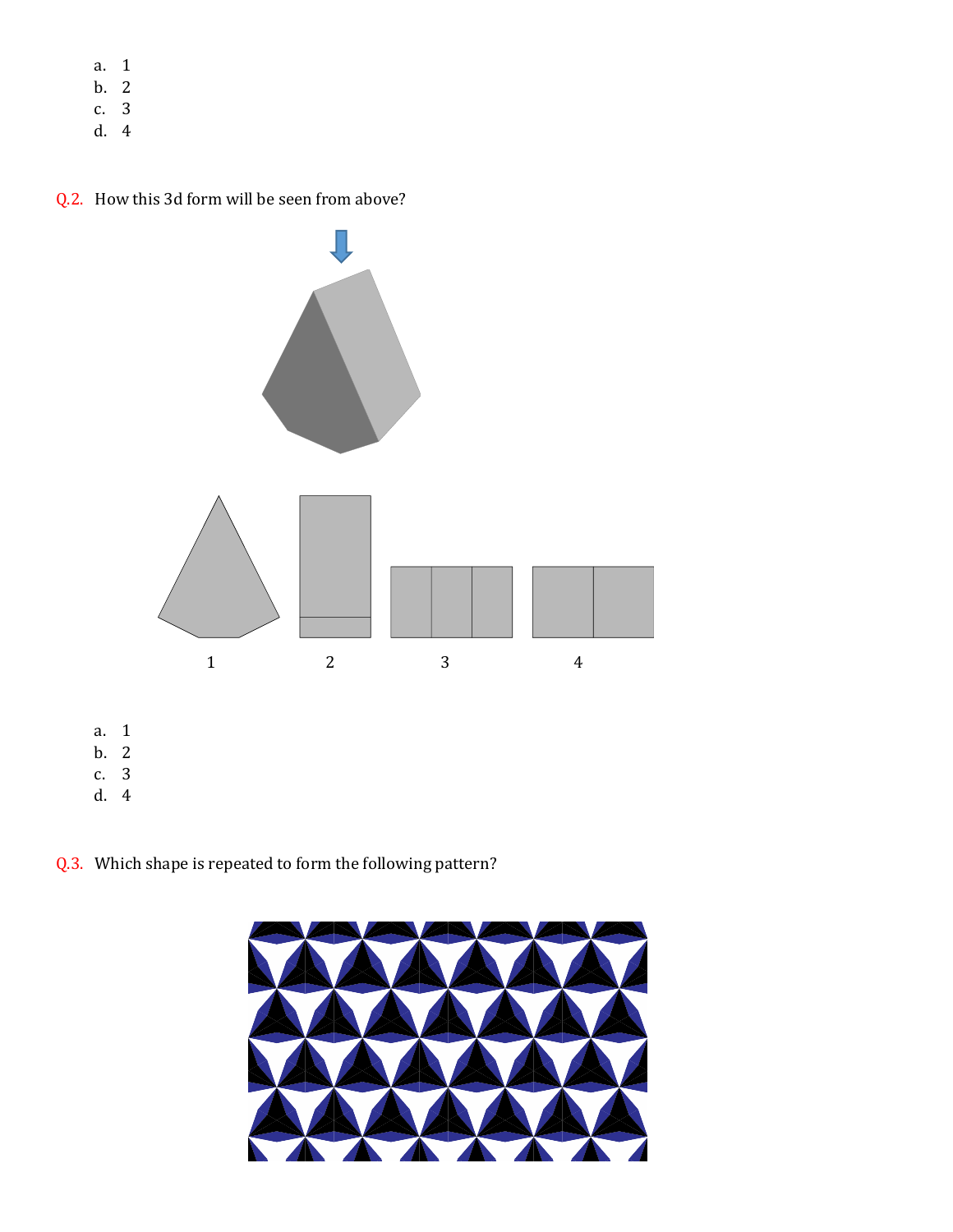- a. 1
- b. 2
- c. 3
- d. 4

## Q.2. How this 3d form will be seen from above?



Q.3. Which shape is repeated to form the following pattern?

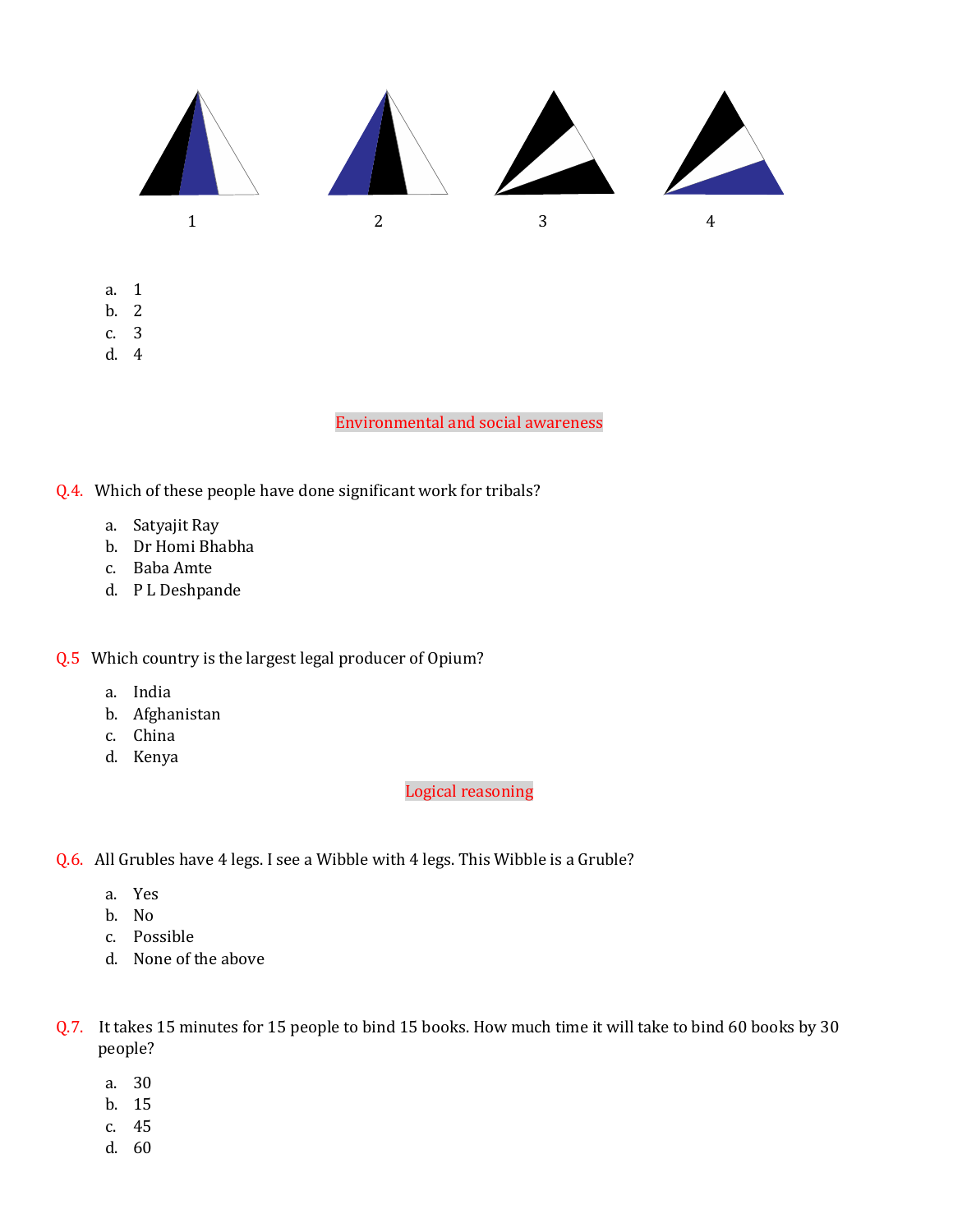

- a. 1
- b. 2
- c. 3 d. 4

Environmental and social awareness

Q.4. Which of these people have done significant work for tribals?

- a. Satyajit Ray
- b. Dr Homi Bhabha
- c. Baba Amte
- d. P L Deshpande

## Q.5 Which country is the largest legal producer of Opium?

- a. India
- b. Afghanistan
- c. China
- d. Kenya

## Logical reasoning

- Q.6. All Grubles have 4 legs. I see a Wibble with 4 legs. This Wibble is a Gruble?
	- a. Yes
	- b. No
	- c. Possible
	- d. None of the above
- Q.7. It takes 15 minutes for 15 people to bind 15 books. How much time it will take to bind 60 books by 30 people?
	- a. 30
	- b. 15
	- c. 45
	- d. 60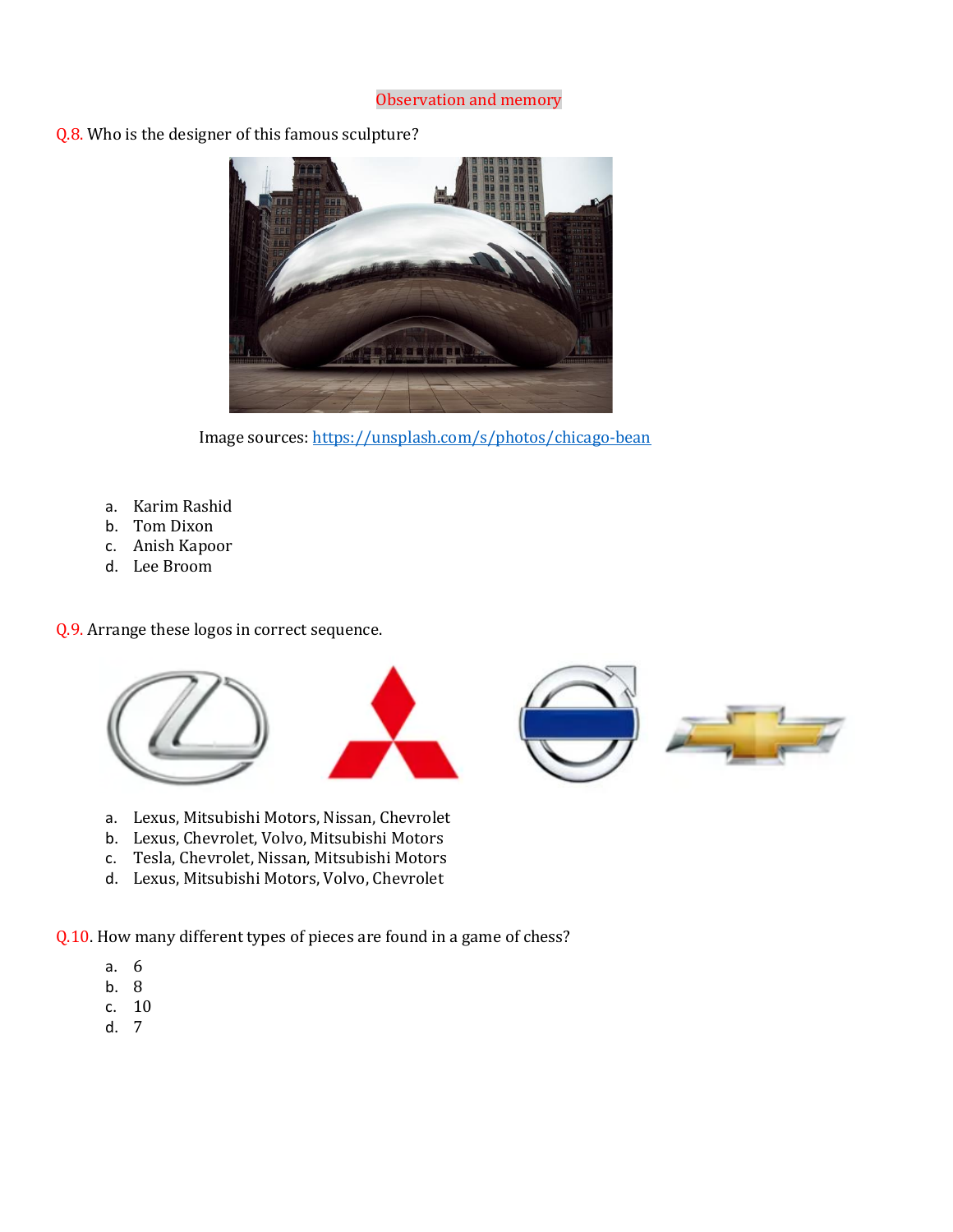

Q.8. Who is the designer of this famous sculpture?



Image sources:<https://unsplash.com/s/photos/chicago-bean>

- a. Karim Rashid
- b. Tom Dixon
- c. Anish Kapoor
- d. Lee Broom

Q.9. Arrange these logos in correct sequence.



- a. Lexus, Mitsubishi Motors, Nissan, Chevrolet
- b. Lexus, Chevrolet, Volvo, Mitsubishi Motors
- c. Tesla, Chevrolet, Nissan, Mitsubishi Motors
- d. Lexus, Mitsubishi Motors, Volvo, Chevrolet

Q.10. How many different types of pieces are found in a game of chess?

- a. 6
- b. 8
- c. 10
- d. 7